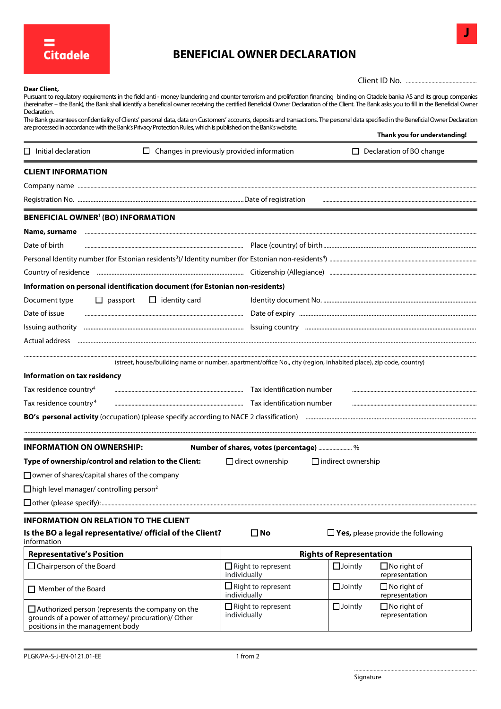

## **BENEFICIAL OWNER DECLARATION**

| Client ID No. |  |
|---------------|--|

**J**

| Dear Client,<br>Pursuant to regulatory requirements in the field anti - money laundering and counter terrorism and proliferation financing binding on Citadele banka AS and its group companies<br>(hereinafter – the Bank), the Bank shall identify a beneficial owner receiving the certified Beneficial Owner Declaration of the Client. The Bank asks you to fill in the Beneficial Owner<br>Declaration.<br>The Bank guarantees confidentiality of Clients' personal data, data on Customers' accounts, deposits and transactions. The personal data specified in the Beneficial Owner Declaration<br>are processed in accordance with the Bank's Privacy Protection Rules, which is published on the Bank's website. |                                                   |                                 | Thank you for understanding!                    |  |
|----------------------------------------------------------------------------------------------------------------------------------------------------------------------------------------------------------------------------------------------------------------------------------------------------------------------------------------------------------------------------------------------------------------------------------------------------------------------------------------------------------------------------------------------------------------------------------------------------------------------------------------------------------------------------------------------------------------------------|---------------------------------------------------|---------------------------------|-------------------------------------------------|--|
| $\Box$ Initial declaration                                                                                                                                                                                                                                                                                                                                                                                                                                                                                                                                                                                                                                                                                                 | $\Box$ Changes in previously provided information |                                 | $\Box$ Declaration of BO change                 |  |
| <b>CLIENT INFORMATION</b>                                                                                                                                                                                                                                                                                                                                                                                                                                                                                                                                                                                                                                                                                                  |                                                   |                                 |                                                 |  |
|                                                                                                                                                                                                                                                                                                                                                                                                                                                                                                                                                                                                                                                                                                                            |                                                   |                                 |                                                 |  |
|                                                                                                                                                                                                                                                                                                                                                                                                                                                                                                                                                                                                                                                                                                                            |                                                   |                                 |                                                 |  |
| <b>BENEFICIAL OWNER<sup>1</sup> (BO) INFORMATION</b>                                                                                                                                                                                                                                                                                                                                                                                                                                                                                                                                                                                                                                                                       |                                                   |                                 |                                                 |  |
| Name, surname                                                                                                                                                                                                                                                                                                                                                                                                                                                                                                                                                                                                                                                                                                              |                                                   |                                 |                                                 |  |
| Date of birth                                                                                                                                                                                                                                                                                                                                                                                                                                                                                                                                                                                                                                                                                                              |                                                   |                                 |                                                 |  |
|                                                                                                                                                                                                                                                                                                                                                                                                                                                                                                                                                                                                                                                                                                                            |                                                   |                                 |                                                 |  |
| Country of residence manufacture and comments are all the manufacture of the control of the state of the content of the state and content of the state and content of the state and content of the state and content of the st                                                                                                                                                                                                                                                                                                                                                                                                                                                                                             |                                                   |                                 |                                                 |  |
| Information on personal identification document (for Estonian non-residents)                                                                                                                                                                                                                                                                                                                                                                                                                                                                                                                                                                                                                                               |                                                   |                                 |                                                 |  |
| Document type<br>$\Box$ passport<br>$\Box$ identity card                                                                                                                                                                                                                                                                                                                                                                                                                                                                                                                                                                                                                                                                   |                                                   |                                 |                                                 |  |
| Date of issue                                                                                                                                                                                                                                                                                                                                                                                                                                                                                                                                                                                                                                                                                                              |                                                   |                                 |                                                 |  |
|                                                                                                                                                                                                                                                                                                                                                                                                                                                                                                                                                                                                                                                                                                                            |                                                   |                                 |                                                 |  |
|                                                                                                                                                                                                                                                                                                                                                                                                                                                                                                                                                                                                                                                                                                                            |                                                   |                                 |                                                 |  |
| (street, house/building name or number, apartment/office No., city (region, inhabited place), zip code, country)<br>Information on tax residency<br>Tax residence country <sup>4</sup><br>Tax residence country <sup>4</sup>                                                                                                                                                                                                                                                                                                                                                                                                                                                                                               |                                                   |                                 |                                                 |  |
| <b>INFORMATION ON OWNERSHIP:</b>                                                                                                                                                                                                                                                                                                                                                                                                                                                                                                                                                                                                                                                                                           | Number of shares, votes (percentage) %            |                                 |                                                 |  |
| Type of ownership/control and relation to the Client: □ direct ownership □ indirect ownership                                                                                                                                                                                                                                                                                                                                                                                                                                                                                                                                                                                                                              |                                                   |                                 |                                                 |  |
| $\Box$ owner of shares/capital shares of the company                                                                                                                                                                                                                                                                                                                                                                                                                                                                                                                                                                                                                                                                       |                                                   |                                 |                                                 |  |
| $\Box$ high level manager/ controlling person <sup>2</sup>                                                                                                                                                                                                                                                                                                                                                                                                                                                                                                                                                                                                                                                                 |                                                   |                                 |                                                 |  |
|                                                                                                                                                                                                                                                                                                                                                                                                                                                                                                                                                                                                                                                                                                                            |                                                   |                                 |                                                 |  |
| <b>INFORMATION ON RELATION TO THE CLIENT</b>                                                                                                                                                                                                                                                                                                                                                                                                                                                                                                                                                                                                                                                                               |                                                   |                                 |                                                 |  |
| Is the BO a legal representative/ official of the Client?<br>information                                                                                                                                                                                                                                                                                                                                                                                                                                                                                                                                                                                                                                                   | $\square$ No                                      |                                 | $\Box$ <b>Yes,</b> please provide the following |  |
| <b>Representative's Position</b>                                                                                                                                                                                                                                                                                                                                                                                                                                                                                                                                                                                                                                                                                           |                                                   | <b>Rights of Representation</b> |                                                 |  |
| $\Box$ Chairperson of the Board                                                                                                                                                                                                                                                                                                                                                                                                                                                                                                                                                                                                                                                                                            | $\Box$ Right to represent<br>individually         | $\Box$ Jointly                  | $\Box$ No right of<br>representation            |  |
| $\Box$ Member of the Board                                                                                                                                                                                                                                                                                                                                                                                                                                                                                                                                                                                                                                                                                                 | $\Box$ Right to represent<br>individually         | $\Box$ Jointly                  | $\Box$ No right of<br>representation            |  |
| $\Box$ Authorized person (represents the company on the<br>grounds of a power of attorney/ procuration)/ Other<br>positions in the management body                                                                                                                                                                                                                                                                                                                                                                                                                                                                                                                                                                         | $\Box$ Right to represent<br>individually         | $\Box$ Jointly                  | $\Box$ No right of<br>representation            |  |

........................................................................................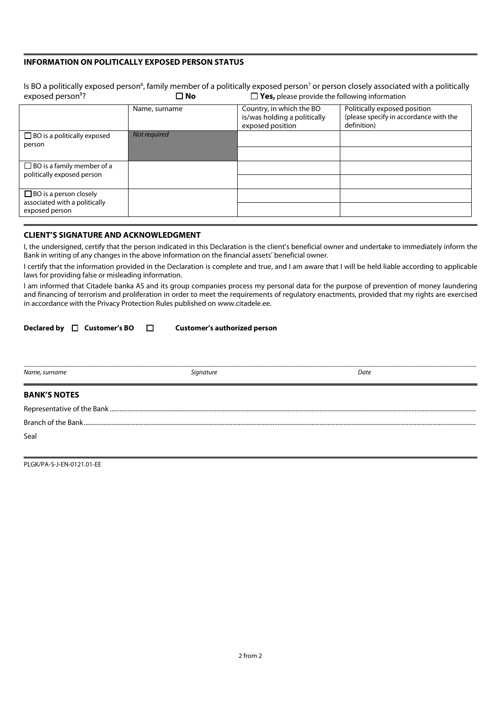## **INFORMATION ON POLITICALLY EXPOSED PERSON STATUS**

| exposed person <sup>8</sup> ?                                                    | Is BO a politically exposed person <sup>6</sup> , family member of a politically exposed person <sup>7</sup> or person closely associated with a politically<br>$\Box$ <b>Yes,</b> please provide the following information<br>$\square$ No |                                                                              |                                                                                       |  |  |
|----------------------------------------------------------------------------------|---------------------------------------------------------------------------------------------------------------------------------------------------------------------------------------------------------------------------------------------|------------------------------------------------------------------------------|---------------------------------------------------------------------------------------|--|--|
|                                                                                  | Name, surname                                                                                                                                                                                                                               | Country, in which the BO<br>is/was holding a politically<br>exposed position | Politically exposed position<br>(please specify in accordance with the<br>definition) |  |  |
| $\Box$ BO is a politically exposed<br>person                                     | Not required                                                                                                                                                                                                                                |                                                                              |                                                                                       |  |  |
| $\Box$ BO is a family member of a<br>politically exposed person                  |                                                                                                                                                                                                                                             |                                                                              |                                                                                       |  |  |
| $\Box$ BO is a person closely<br>associated with a politically<br>exposed person |                                                                                                                                                                                                                                             |                                                                              |                                                                                       |  |  |

## **CLIENT'S SIGNATURE AND ACKNOWLEDGMENT**

I, the undersigned, certify that the person indicated in this Declaration is the client's beneficial owner and undertake to immediately inform the Bank in writing of any changes in the above information on the financial assets' beneficial owner.

I certify that the information provided in the Declaration is complete and true, and I am aware that I will be held liable according to applicable laws for providing false or misleading information.

I am informed that Citadele banka AS and its group companies process my personal data for the purpose of prevention of money laundering and financing of terrorism and proliferation in order to meet the requirements of regulatory enactments, provided that my rights are exercised in accordance with the Privacy Protection Rules published on www.citadele.ee.

| Declared by $\Box$ Customer's BO $\Box$ | <b>Customer's authorized person</b> |      |
|-----------------------------------------|-------------------------------------|------|
|                                         |                                     |      |
|                                         |                                     |      |
| Name, surname                           | Signature                           | Date |
| <b>BANK'S NOTES</b>                     |                                     |      |
|                                         |                                     |      |
|                                         |                                     |      |
| Seal                                    |                                     |      |
|                                         |                                     |      |

PLGK/PA-S-J-EN-0121.01-EE